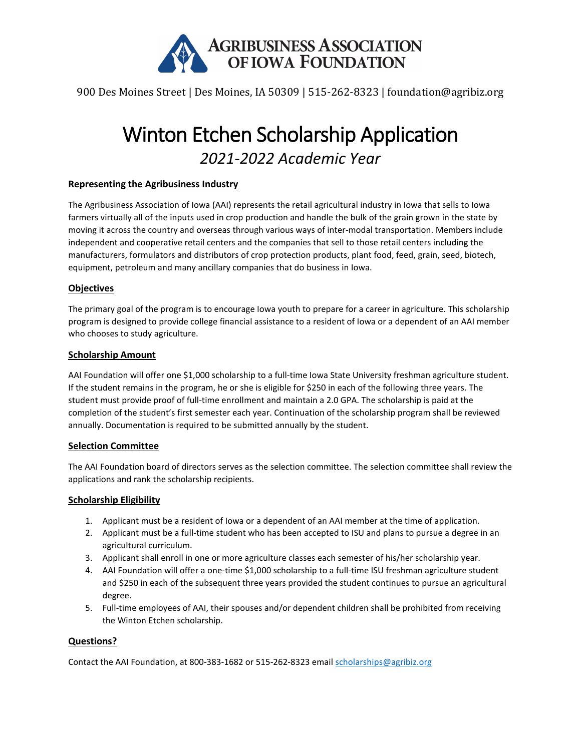

900 Des Moines Street | Des Moines, IA 50309 | 515-262-8323 | foundation@agribiz.org

# Winton Etchen Scholarship Application *2021-2022 Academic Year*

#### **Representing the Agribusiness Industry**

The Agribusiness Association of Iowa (AAI) represents the retail agricultural industry in Iowa that sells to Iowa farmers virtually all of the inputs used in crop production and handle the bulk of the grain grown in the state by moving it across the country and overseas through various ways of inter-modal transportation. Members include independent and cooperative retail centers and the companies that sell to those retail centers including the manufacturers, formulators and distributors of crop protection products, plant food, feed, grain, seed, biotech, equipment, petroleum and many ancillary companies that do business in Iowa.

#### **Objectives**

The primary goal of the program is to encourage Iowa youth to prepare for a career in agriculture. This scholarship program is designed to provide college financial assistance to a resident of Iowa or a dependent of an AAI member who chooses to study agriculture.

#### **Scholarship Amount**

AAI Foundation will offer one \$1,000 scholarship to a full-time Iowa State University freshman agriculture student. If the student remains in the program, he or she is eligible for \$250 in each of the following three years. The student must provide proof of full-time enrollment and maintain a 2.0 GPA. The scholarship is paid at the completion of the student's first semester each year. Continuation of the scholarship program shall be reviewed annually. Documentation is required to be submitted annually by the student.

#### **Selection Committee**

The AAI Foundation board of directors serves as the selection committee. The selection committee shall review the applications and rank the scholarship recipients.

#### **Scholarship Eligibility**

- 1. Applicant must be a resident of Iowa or a dependent of an AAI member at the time of application.
- 2. Applicant must be a full-time student who has been accepted to ISU and plans to pursue a degree in an agricultural curriculum.
- 3. Applicant shall enroll in one or more agriculture classes each semester of his/her scholarship year.
- 4. AAI Foundation will offer a one-time \$1,000 scholarship to a full-time ISU freshman agriculture student and \$250 in each of the subsequent three years provided the student continues to pursue an agricultural degree.
- 5. Full-time employees of AAI, their spouses and/or dependent children shall be prohibited from receiving the Winton Etchen scholarship.

#### **Questions?**

Contact the AAI Foundation, at 800-383-1682 or 515-262-8323 emai[l scholarships@agribiz.org](mailto:scholarships@agribiz.org)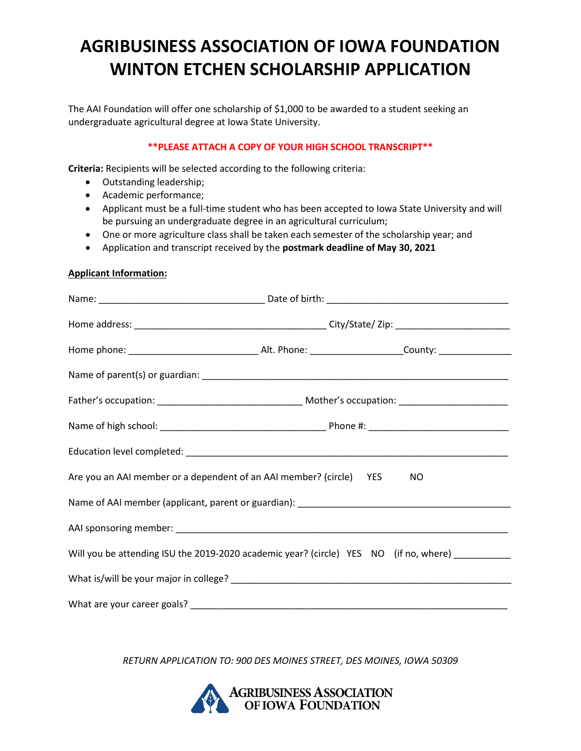## **AGRIBUSINESS ASSOCIATION OF IOWA FOUNDATION WINTON ETCHEN SCHOLARSHIP APPLICATION**

The AAI Foundation will offer one scholarship of \$1,000 to be awarded to a student seeking an undergraduate agricultural degree at Iowa State University.

### **\*\*PLEASE ATTACH A COPY OF YOUR HIGH SCHOOL TRANSCRIPT\*\***

**Criteria:** Recipients will be selected according to the following criteria:

- Outstanding leadership;
- Academic performance;
- Applicant must be a full-time student who has been accepted to Iowa State University and will be pursuing an undergraduate degree in an agricultural curriculum;
- One or more agriculture class shall be taken each semester of the scholarship year; and
- Application and transcript received by the **postmark deadline of May 30, 2021**

#### **Applicant Information:**

| Are you an AAI member or a dependent of an AAI member? (circle) YES NO                           |  |  |  |  |
|--------------------------------------------------------------------------------------------------|--|--|--|--|
|                                                                                                  |  |  |  |  |
|                                                                                                  |  |  |  |  |
| Will you be attending ISU the 2019-2020 academic year? (circle) YES NO (if no, where) __________ |  |  |  |  |
|                                                                                                  |  |  |  |  |
|                                                                                                  |  |  |  |  |

*RETURN APPLICATION TO: 900 DES MOINES STREET, DES MOINES, IOWA 50309*

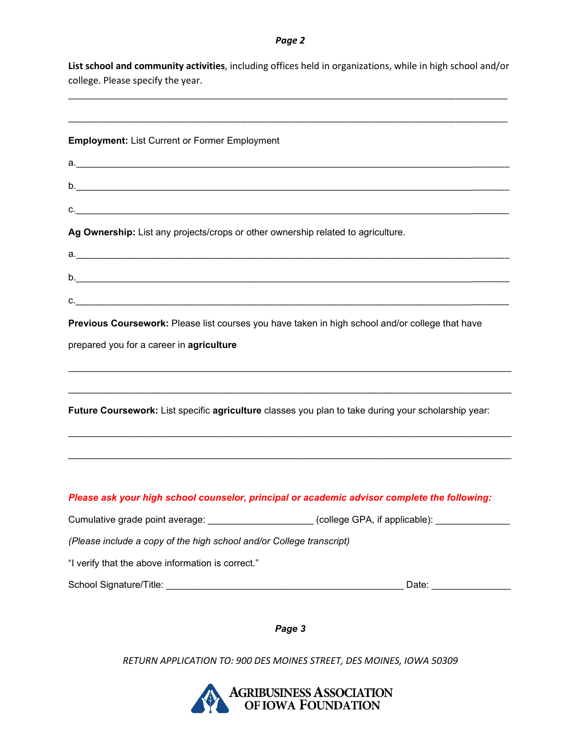#### *Page 2*

**List school and community activities**, including offices held in organizations, while in high school and/or college. Please specify the year.

\_\_\_\_\_\_\_\_\_\_\_\_\_\_\_\_\_\_\_\_\_\_\_\_\_\_\_\_\_\_\_\_\_\_\_\_\_\_\_\_\_\_\_\_\_\_\_\_\_\_\_\_\_\_\_\_\_\_\_\_\_\_\_\_\_\_\_\_\_\_\_\_\_\_\_\_\_\_\_\_\_\_\_\_\_\_\_\_\_\_\_\_\_

| <b>Employment: List Current or Former Employment</b>                                                                                                                                                                           |  |
|--------------------------------------------------------------------------------------------------------------------------------------------------------------------------------------------------------------------------------|--|
| a. In the contract of the contract of the contract of the contract of the contract of the contract of the contract of the contract of the contract of the contract of the contract of the contract of the contract of the cont |  |
|                                                                                                                                                                                                                                |  |
|                                                                                                                                                                                                                                |  |
| Ag Ownership: List any projects/crops or other ownership related to agriculture.                                                                                                                                               |  |
|                                                                                                                                                                                                                                |  |
|                                                                                                                                                                                                                                |  |
|                                                                                                                                                                                                                                |  |
| Previous Coursework: Please list courses you have taken in high school and/or college that have                                                                                                                                |  |
| prepared you for a career in agriculture                                                                                                                                                                                       |  |
|                                                                                                                                                                                                                                |  |
| Future Coursework: List specific agriculture classes you plan to take during your scholarship year:                                                                                                                            |  |
|                                                                                                                                                                                                                                |  |
|                                                                                                                                                                                                                                |  |
| Please ask your high school counselor, principal or academic advisor complete the following:                                                                                                                                   |  |
| Cumulative grade point average: _____________________(college GPA, if applicable): _____________                                                                                                                               |  |
| (Please include a copy of the high school and/or College transcript)                                                                                                                                                           |  |
| "I verify that the above information is correct."                                                                                                                                                                              |  |
|                                                                                                                                                                                                                                |  |

*Page 3*

*RETURN APPLICATION TO: 900 DES MOINES STREET, DES MOINES, IOWA 50309*